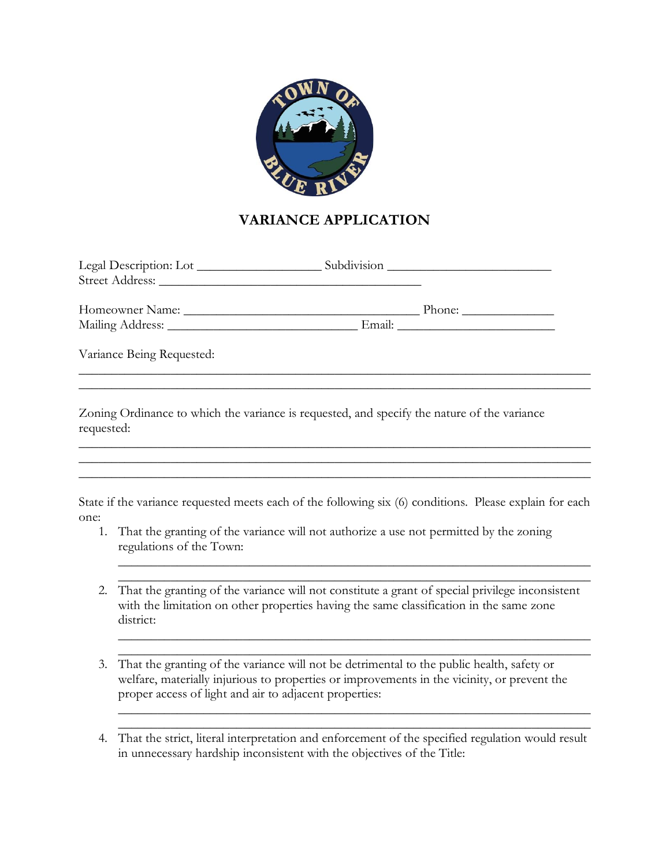

# **VARIANCE APPLICATION**

| Phone: |
|--------|
|        |
|        |

\_\_\_\_\_\_\_\_\_\_\_\_\_\_\_\_\_\_\_\_\_\_\_\_\_\_\_\_\_\_\_\_\_\_\_\_\_\_\_\_\_\_\_\_\_\_\_\_\_\_\_\_\_\_\_\_\_\_\_\_\_\_\_\_\_\_\_\_\_\_\_\_\_\_\_\_\_\_ \_\_\_\_\_\_\_\_\_\_\_\_\_\_\_\_\_\_\_\_\_\_\_\_\_\_\_\_\_\_\_\_\_\_\_\_\_\_\_\_\_\_\_\_\_\_\_\_\_\_\_\_\_\_\_\_\_\_\_\_\_\_\_\_\_\_\_\_\_\_\_\_\_\_\_\_\_\_

Variance Being Requested:

Zoning Ordinance to which the variance is requested, and specify the nature of the variance requested:

State if the variance requested meets each of the following six (6) conditions. Please explain for each one:

\_\_\_\_\_\_\_\_\_\_\_\_\_\_\_\_\_\_\_\_\_\_\_\_\_\_\_\_\_\_\_\_\_\_\_\_\_\_\_\_\_\_\_\_\_\_\_\_\_\_\_\_\_\_\_\_\_\_\_\_\_\_\_\_\_\_\_\_\_\_\_\_\_\_\_\_\_\_ \_\_\_\_\_\_\_\_\_\_\_\_\_\_\_\_\_\_\_\_\_\_\_\_\_\_\_\_\_\_\_\_\_\_\_\_\_\_\_\_\_\_\_\_\_\_\_\_\_\_\_\_\_\_\_\_\_\_\_\_\_\_\_\_\_\_\_\_\_\_\_\_\_\_\_\_\_\_

\_\_\_\_\_\_\_\_\_\_\_\_\_\_\_\_\_\_\_\_\_\_\_\_\_\_\_\_\_\_\_\_\_\_\_\_\_\_\_\_\_\_\_\_\_\_\_\_\_\_\_\_\_\_\_\_\_\_\_\_\_\_\_\_\_\_\_\_\_\_\_\_\_\_\_\_\_\_

- 1. That the granting of the variance will not authorize a use not permitted by the zoning regulations of the Town:
- 2. That the granting of the variance will not constitute a grant of special privilege inconsistent with the limitation on other properties having the same classification in the same zone district:

 $\_$  , and the set of the set of the set of the set of the set of the set of the set of the set of the set of the set of the set of the set of the set of the set of the set of the set of the set of the set of the set of th  $\_$  , and the set of the set of the set of the set of the set of the set of the set of the set of the set of the set of the set of the set of the set of the set of the set of the set of the set of the set of the set of th

 $\_$  , and the set of the set of the set of the set of the set of the set of the set of the set of the set of the set of the set of the set of the set of the set of the set of the set of the set of the set of the set of th \_\_\_\_\_\_\_\_\_\_\_\_\_\_\_\_\_\_\_\_\_\_\_\_\_\_\_\_\_\_\_\_\_\_\_\_\_\_\_\_\_\_\_\_\_\_\_\_\_\_\_\_\_\_\_\_\_\_\_\_\_\_\_\_\_\_\_\_\_\_\_\_

 $\_$  , and the set of the set of the set of the set of the set of the set of the set of the set of the set of the set of the set of the set of the set of the set of the set of the set of the set of the set of the set of th  $\_$  , and the set of the set of the set of the set of the set of the set of the set of the set of the set of the set of the set of the set of the set of the set of the set of the set of the set of the set of the set of th

- 3. That the granting of the variance will not be detrimental to the public health, safety or welfare, materially injurious to properties or improvements in the vicinity, or prevent the proper access of light and air to adjacent properties:
- 4. That the strict, literal interpretation and enforcement of the specified regulation would result in unnecessary hardship inconsistent with the objectives of the Title: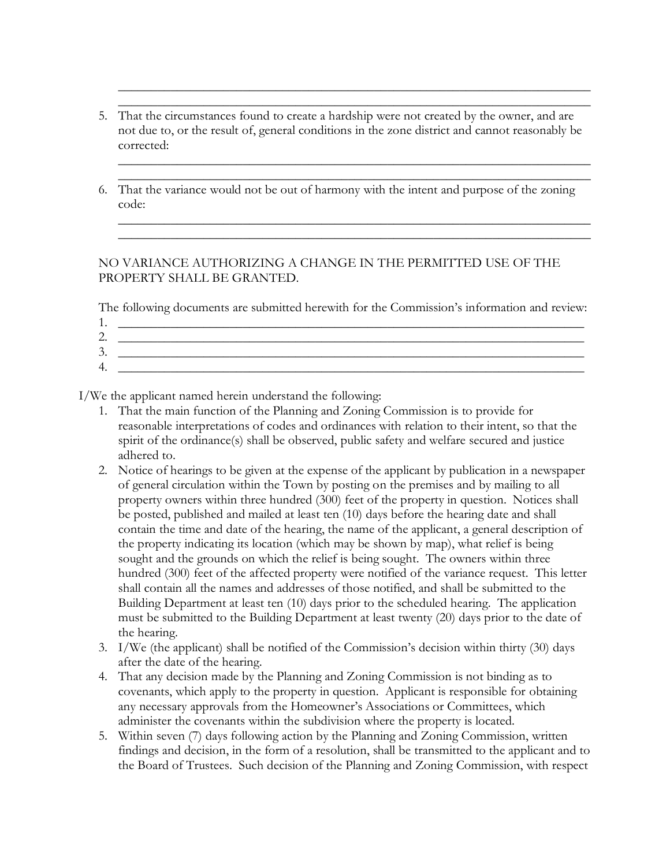5. That the circumstances found to create a hardship were not created by the owner, and are not due to, or the result of, general conditions in the zone district and cannot reasonably be corrected:

 $\_$  , and the set of the set of the set of the set of the set of the set of the set of the set of the set of the set of the set of the set of the set of the set of the set of the set of the set of the set of the set of th  $\_$  , and the set of the set of the set of the set of the set of the set of the set of the set of the set of the set of the set of the set of the set of the set of the set of the set of the set of the set of the set of th

 $\_$  , and the set of the set of the set of the set of the set of the set of the set of the set of the set of the set of the set of the set of the set of the set of the set of the set of the set of the set of the set of th  $\_$  , and the set of the set of the set of the set of the set of the set of the set of the set of the set of the set of the set of the set of the set of the set of the set of the set of the set of the set of the set of th

 $\_$  , and the set of the set of the set of the set of the set of the set of the set of the set of the set of the set of the set of the set of the set of the set of the set of the set of the set of the set of the set of th \_\_\_\_\_\_\_\_\_\_\_\_\_\_\_\_\_\_\_\_\_\_\_\_\_\_\_\_\_\_\_\_\_\_\_\_\_\_\_\_\_\_\_\_\_\_\_\_\_\_\_\_\_\_\_\_\_\_\_\_\_\_\_\_\_\_\_\_\_\_\_\_

6. That the variance would not be out of harmony with the intent and purpose of the zoning code:

### NO VARIANCE AUTHORIZING A CHANGE IN THE PERMITTED USE OF THE PROPERTY SHALL BE GRANTED.

The following documents are submitted herewith for the Commission's information and review:

1. \_\_\_\_\_\_\_\_\_\_\_\_\_\_\_\_\_\_\_\_\_\_\_\_\_\_\_\_\_\_\_\_\_\_\_\_\_\_\_\_\_\_\_\_\_\_\_\_\_\_\_\_\_\_\_\_\_\_\_\_\_\_\_\_\_\_\_\_\_\_\_  $2.$  $3.$  $4.$ 

I/We the applicant named herein understand the following:

- 1. That the main function of the Planning and Zoning Commission is to provide for reasonable interpretations of codes and ordinances with relation to their intent, so that the spirit of the ordinance(s) shall be observed, public safety and welfare secured and justice adhered to.
- 2. Notice of hearings to be given at the expense of the applicant by publication in a newspaper of general circulation within the Town by posting on the premises and by mailing to all property owners within three hundred (300) feet of the property in question. Notices shall be posted, published and mailed at least ten (10) days before the hearing date and shall contain the time and date of the hearing, the name of the applicant, a general description of the property indicating its location (which may be shown by map), what relief is being sought and the grounds on which the relief is being sought. The owners within three hundred (300) feet of the affected property were notified of the variance request. This letter shall contain all the names and addresses of those notified, and shall be submitted to the Building Department at least ten (10) days prior to the scheduled hearing. The application must be submitted to the Building Department at least twenty (20) days prior to the date of the hearing.
- 3. I/We (the applicant) shall be notified of the Commission's decision within thirty (30) days after the date of the hearing.
- 4. That any decision made by the Planning and Zoning Commission is not binding as to covenants, which apply to the property in question. Applicant is responsible for obtaining any necessary approvals from the Homeowner's Associations or Committees, which administer the covenants within the subdivision where the property is located.
- 5. Within seven (7) days following action by the Planning and Zoning Commission, written findings and decision, in the form of a resolution, shall be transmitted to the applicant and to the Board of Trustees. Such decision of the Planning and Zoning Commission, with respect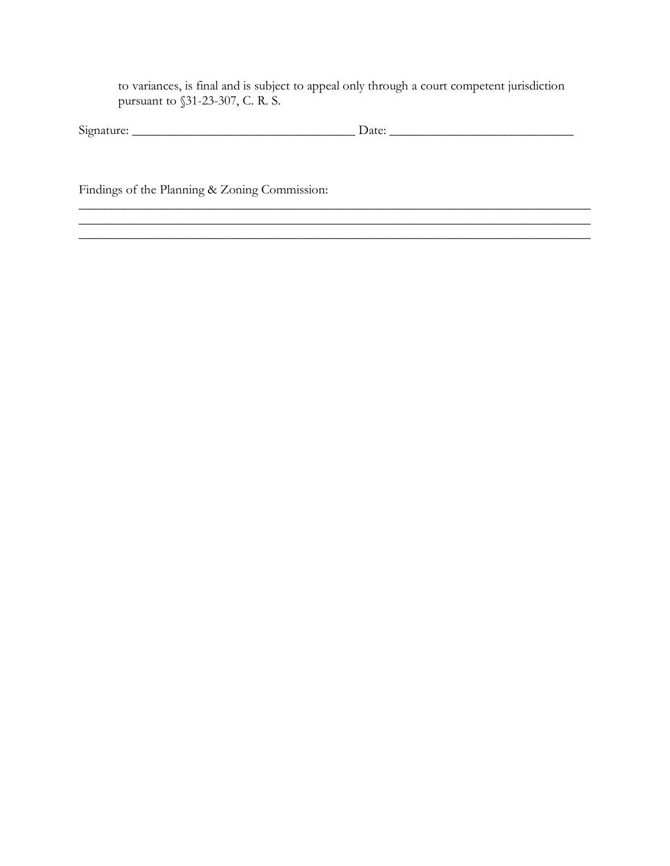to variances, is final and is subject to appeal only through a court competent jurisdiction pursuant to §31-23-307, C. R. S.

| o.<br>$-1 - 1 - 1$<br>$510^{n}$<br>няг | мы<br>acc<br>- |  |
|----------------------------------------|----------------|--|
|                                        |                |  |

\_\_\_\_\_\_\_\_\_\_\_\_\_\_\_\_\_\_\_\_\_\_\_\_\_\_\_\_\_\_\_\_\_\_\_\_\_\_\_\_\_\_\_\_\_\_\_\_\_\_\_\_\_\_\_\_\_\_\_\_\_\_\_\_\_\_\_\_\_\_\_\_\_\_\_\_\_\_

 $\mathcal{L}_\mathcal{L} = \mathcal{L}_\mathcal{L} = \mathcal{L}_\mathcal{L} = \mathcal{L}_\mathcal{L} = \mathcal{L}_\mathcal{L} = \mathcal{L}_\mathcal{L} = \mathcal{L}_\mathcal{L} = \mathcal{L}_\mathcal{L} = \mathcal{L}_\mathcal{L} = \mathcal{L}_\mathcal{L} = \mathcal{L}_\mathcal{L} = \mathcal{L}_\mathcal{L} = \mathcal{L}_\mathcal{L} = \mathcal{L}_\mathcal{L} = \mathcal{L}_\mathcal{L} = \mathcal{L}_\mathcal{L} = \mathcal{L}_\mathcal{L}$ 

\_\_\_\_\_\_\_\_\_\_\_\_\_\_\_\_\_\_\_\_\_\_\_\_\_\_\_\_\_\_\_\_\_\_\_\_\_\_\_\_\_\_\_\_\_\_\_\_\_\_\_\_\_\_\_\_\_\_\_\_\_\_\_\_\_\_\_\_\_\_\_\_\_\_\_\_\_\_

Findings of the Planning & Zoning Commission: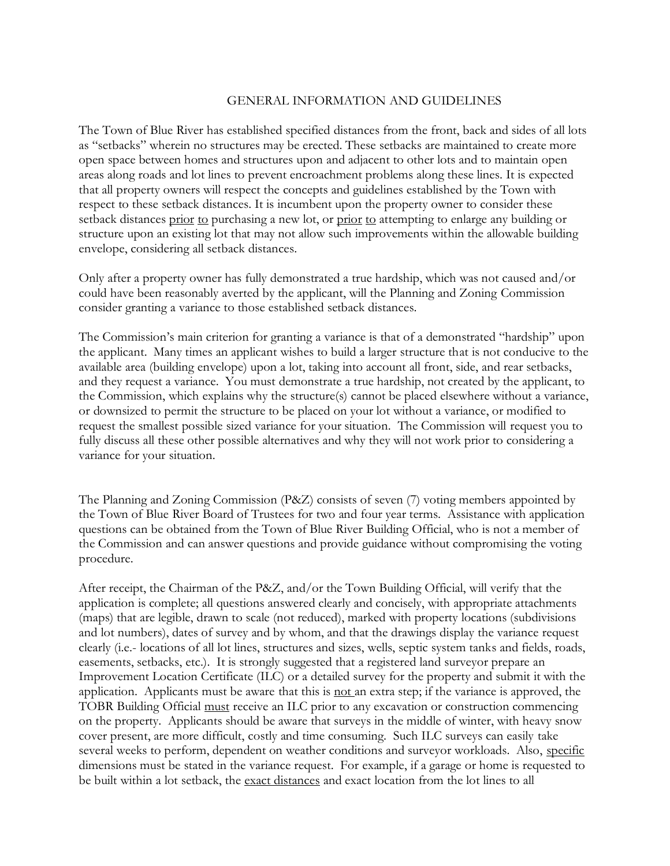### GENERAL INFORMATION AND GUIDELINES

The Town of Blue River has established specified distances from the front, back and sides of all lots as "setbacks" wherein no structures may be erected. These setbacks are maintained to create more open space between homes and structures upon and adjacent to other lots and to maintain open areas along roads and lot lines to prevent encroachment problems along these lines. It is expected that all property owners will respect the concepts and guidelines established by the Town with respect to these setback distances. It is incumbent upon the property owner to consider these setback distances prior to purchasing a new lot, or prior to attempting to enlarge any building or structure upon an existing lot that may not allow such improvements within the allowable building envelope, considering all setback distances.

Only after a property owner has fully demonstrated a true hardship, which was not caused and/or could have been reasonably averted by the applicant, will the Planning and Zoning Commission consider granting a variance to those established setback distances.

The Commission's main criterion for granting a variance is that of a demonstrated "hardship" upon the applicant. Many times an applicant wishes to build a larger structure that is not conducive to the available area (building envelope) upon a lot, taking into account all front, side, and rear setbacks, and they request a variance. You must demonstrate a true hardship, not created by the applicant, to the Commission, which explains why the structure(s) cannot be placed elsewhere without a variance, or downsized to permit the structure to be placed on your lot without a variance, or modified to request the smallest possible sized variance for your situation. The Commission will request you to fully discuss all these other possible alternatives and why they will not work prior to considering a variance for your situation.

The Planning and Zoning Commission (P&Z) consists of seven (7) voting members appointed by the Town of Blue River Board of Trustees for two and four year terms. Assistance with application questions can be obtained from the Town of Blue River Building Official, who is not a member of the Commission and can answer questions and provide guidance without compromising the voting procedure.

After receipt, the Chairman of the P&Z, and/or the Town Building Official, will verify that the application is complete; all questions answered clearly and concisely, with appropriate attachments (maps) that are legible, drawn to scale (not reduced), marked with property locations (subdivisions and lot numbers), dates of survey and by whom, and that the drawings display the variance request clearly (i.e.- locations of all lot lines, structures and sizes, wells, septic system tanks and fields, roads, easements, setbacks, etc.). It is strongly suggested that a registered land surveyor prepare an Improvement Location Certificate (ILC) or a detailed survey for the property and submit it with the application. Applicants must be aware that this is not an extra step; if the variance is approved, the TOBR Building Official must receive an ILC prior to any excavation or construction commencing on the property. Applicants should be aware that surveys in the middle of winter, with heavy snow cover present, are more difficult, costly and time consuming. Such ILC surveys can easily take several weeks to perform, dependent on weather conditions and surveyor workloads. Also, specific dimensions must be stated in the variance request. For example, if a garage or home is requested to be built within a lot setback, the exact distances and exact location from the lot lines to all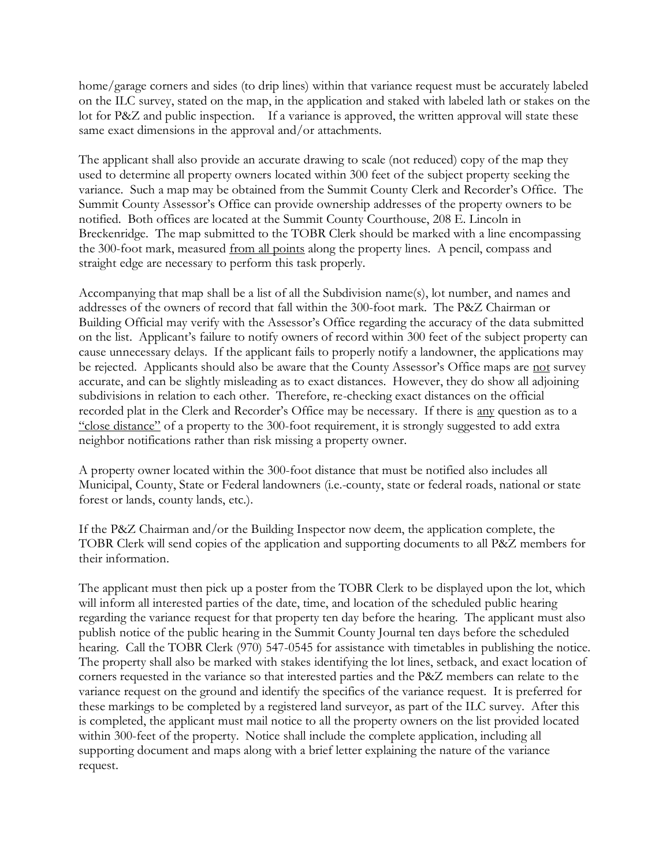home/garage corners and sides (to drip lines) within that variance request must be accurately labeled on the ILC survey, stated on the map, in the application and staked with labeled lath or stakes on the lot for P&Z and public inspection. If a variance is approved, the written approval will state these same exact dimensions in the approval and/or attachments.

The applicant shall also provide an accurate drawing to scale (not reduced) copy of the map they used to determine all property owners located within 300 feet of the subject property seeking the variance. Such a map may be obtained from the Summit County Clerk and Recorder's Office. The Summit County Assessor's Office can provide ownership addresses of the property owners to be notified. Both offices are located at the Summit County Courthouse, 208 E. Lincoln in Breckenridge. The map submitted to the TOBR Clerk should be marked with a line encompassing the 300-foot mark, measured from all points along the property lines. A pencil, compass and straight edge are necessary to perform this task properly.

Accompanying that map shall be a list of all the Subdivision name(s), lot number, and names and addresses of the owners of record that fall within the 300-foot mark. The P&Z Chairman or Building Official may verify with the Assessor's Office regarding the accuracy of the data submitted on the list. Applicant's failure to notify owners of record within 300 feet of the subject property can cause unnecessary delays. If the applicant fails to properly notify a landowner, the applications may be rejected. Applicants should also be aware that the County Assessor's Office maps are not survey accurate, and can be slightly misleading as to exact distances. However, they do show all adjoining subdivisions in relation to each other. Therefore, re-checking exact distances on the official recorded plat in the Clerk and Recorder's Office may be necessary. If there is any question as to a "close distance" of a property to the 300-foot requirement, it is strongly suggested to add extra neighbor notifications rather than risk missing a property owner.

A property owner located within the 300-foot distance that must be notified also includes all Municipal, County, State or Federal landowners (i.e.-county, state or federal roads, national or state forest or lands, county lands, etc.).

If the P&Z Chairman and/or the Building Inspector now deem, the application complete, the TOBR Clerk will send copies of the application and supporting documents to all P&Z members for their information.

The applicant must then pick up a poster from the TOBR Clerk to be displayed upon the lot, which will inform all interested parties of the date, time, and location of the scheduled public hearing regarding the variance request for that property ten day before the hearing. The applicant must also publish notice of the public hearing in the Summit County Journal ten days before the scheduled hearing. Call the TOBR Clerk (970) 547-0545 for assistance with timetables in publishing the notice. The property shall also be marked with stakes identifying the lot lines, setback, and exact location of corners requested in the variance so that interested parties and the P&Z members can relate to the variance request on the ground and identify the specifics of the variance request. It is preferred for these markings to be completed by a registered land surveyor, as part of the ILC survey. After this is completed, the applicant must mail notice to all the property owners on the list provided located within 300-feet of the property. Notice shall include the complete application, including all supporting document and maps along with a brief letter explaining the nature of the variance request.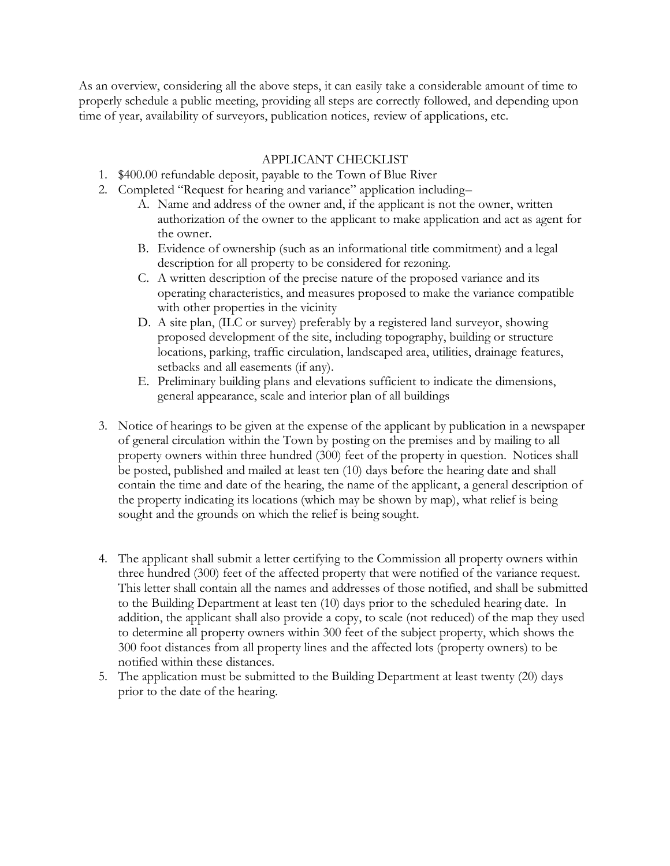As an overview, considering all the above steps, it can easily take a considerable amount of time to properly schedule a public meeting, providing all steps are correctly followed, and depending upon time of year, availability of surveyors, publication notices, review of applications, etc.

# APPLICANT CHECKLIST

- 1. \$400.00 refundable deposit, payable to the Town of Blue River
- 2. Completed "Request for hearing and variance" application including–
	- A. Name and address of the owner and, if the applicant is not the owner, written authorization of the owner to the applicant to make application and act as agent for the owner.
	- B. Evidence of ownership (such as an informational title commitment) and a legal description for all property to be considered for rezoning.
	- C. A written description of the precise nature of the proposed variance and its operating characteristics, and measures proposed to make the variance compatible with other properties in the vicinity
	- D. A site plan, (ILC or survey) preferably by a registered land surveyor, showing proposed development of the site, including topography, building or structure locations, parking, traffic circulation, landscaped area, utilities, drainage features, setbacks and all easements (if any).
	- E. Preliminary building plans and elevations sufficient to indicate the dimensions, general appearance, scale and interior plan of all buildings
- 3. Notice of hearings to be given at the expense of the applicant by publication in a newspaper of general circulation within the Town by posting on the premises and by mailing to all property owners within three hundred (300) feet of the property in question. Notices shall be posted, published and mailed at least ten (10) days before the hearing date and shall contain the time and date of the hearing, the name of the applicant, a general description of the property indicating its locations (which may be shown by map), what relief is being sought and the grounds on which the relief is being sought.
- 4. The applicant shall submit a letter certifying to the Commission all property owners within three hundred (300) feet of the affected property that were notified of the variance request. This letter shall contain all the names and addresses of those notified, and shall be submitted to the Building Department at least ten (10) days prior to the scheduled hearing date. In addition, the applicant shall also provide a copy, to scale (not reduced) of the map they used to determine all property owners within 300 feet of the subject property, which shows the 300 foot distances from all property lines and the affected lots (property owners) to be notified within these distances.
- 5. The application must be submitted to the Building Department at least twenty (20) days prior to the date of the hearing.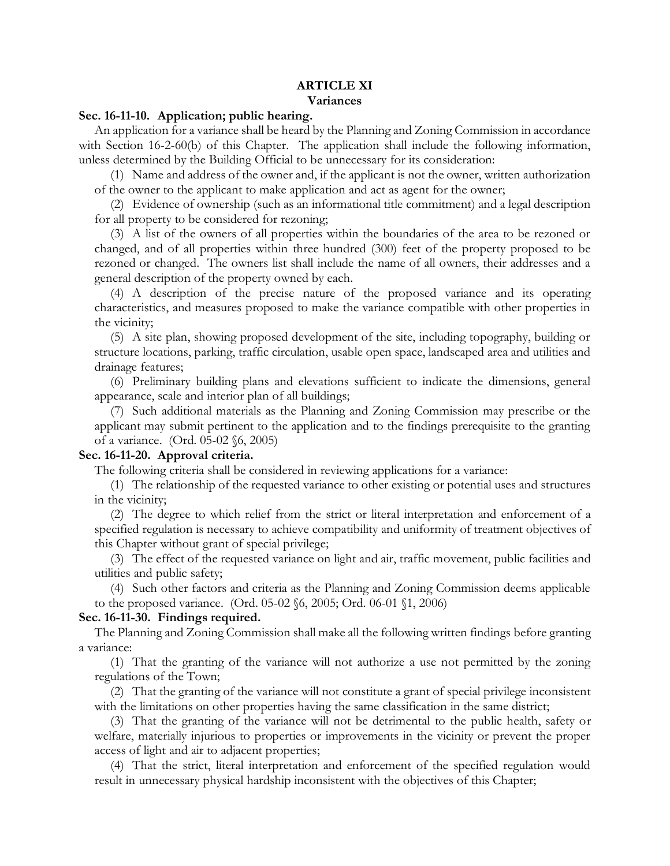#### **ARTICLE XI Variances**

#### **Sec. 16-11-10. Application; public hearing.**

An application for a variance shall be heard by the Planning and Zoning Commission in accordance with Section 16-2-60(b) of this Chapter. The application shall include the following information, unless determined by the Building Official to be unnecessary for its consideration:

(1) Name and address of the owner and, if the applicant is not the owner, written authorization of the owner to the applicant to make application and act as agent for the owner;

(2) Evidence of ownership (such as an informational title commitment) and a legal description for all property to be considered for rezoning;

(3) A list of the owners of all properties within the boundaries of the area to be rezoned or changed, and of all properties within three hundred (300) feet of the property proposed to be rezoned or changed. The owners list shall include the name of all owners, their addresses and a general description of the property owned by each.

(4) A description of the precise nature of the proposed variance and its operating characteristics, and measures proposed to make the variance compatible with other properties in the vicinity;

(5) A site plan, showing proposed development of the site, including topography, building or structure locations, parking, traffic circulation, usable open space, landscaped area and utilities and drainage features;

(6) Preliminary building plans and elevations sufficient to indicate the dimensions, general appearance, scale and interior plan of all buildings;

(7) Such additional materials as the Planning and Zoning Commission may prescribe or the applicant may submit pertinent to the application and to the findings prerequisite to the granting of a variance. (Ord. 05-02 §6, 2005)

#### **Sec. 16-11-20. Approval criteria.**

The following criteria shall be considered in reviewing applications for a variance:

(1) The relationship of the requested variance to other existing or potential uses and structures in the vicinity;

(2) The degree to which relief from the strict or literal interpretation and enforcement of a specified regulation is necessary to achieve compatibility and uniformity of treatment objectives of this Chapter without grant of special privilege;

(3) The effect of the requested variance on light and air, traffic movement, public facilities and utilities and public safety;

(4) Such other factors and criteria as the Planning and Zoning Commission deems applicable to the proposed variance. (Ord. 05-02 §6, 2005; Ord. 06-01 §1, 2006)

#### **Sec. 16-11-30. Findings required.**

The Planning and Zoning Commission shall make all the following written findings before granting a variance:

(1) That the granting of the variance will not authorize a use not permitted by the zoning regulations of the Town;

(2) That the granting of the variance will not constitute a grant of special privilege inconsistent with the limitations on other properties having the same classification in the same district;

(3) That the granting of the variance will not be detrimental to the public health, safety or welfare, materially injurious to properties or improvements in the vicinity or prevent the proper access of light and air to adjacent properties;

(4) That the strict, literal interpretation and enforcement of the specified regulation would result in unnecessary physical hardship inconsistent with the objectives of this Chapter;